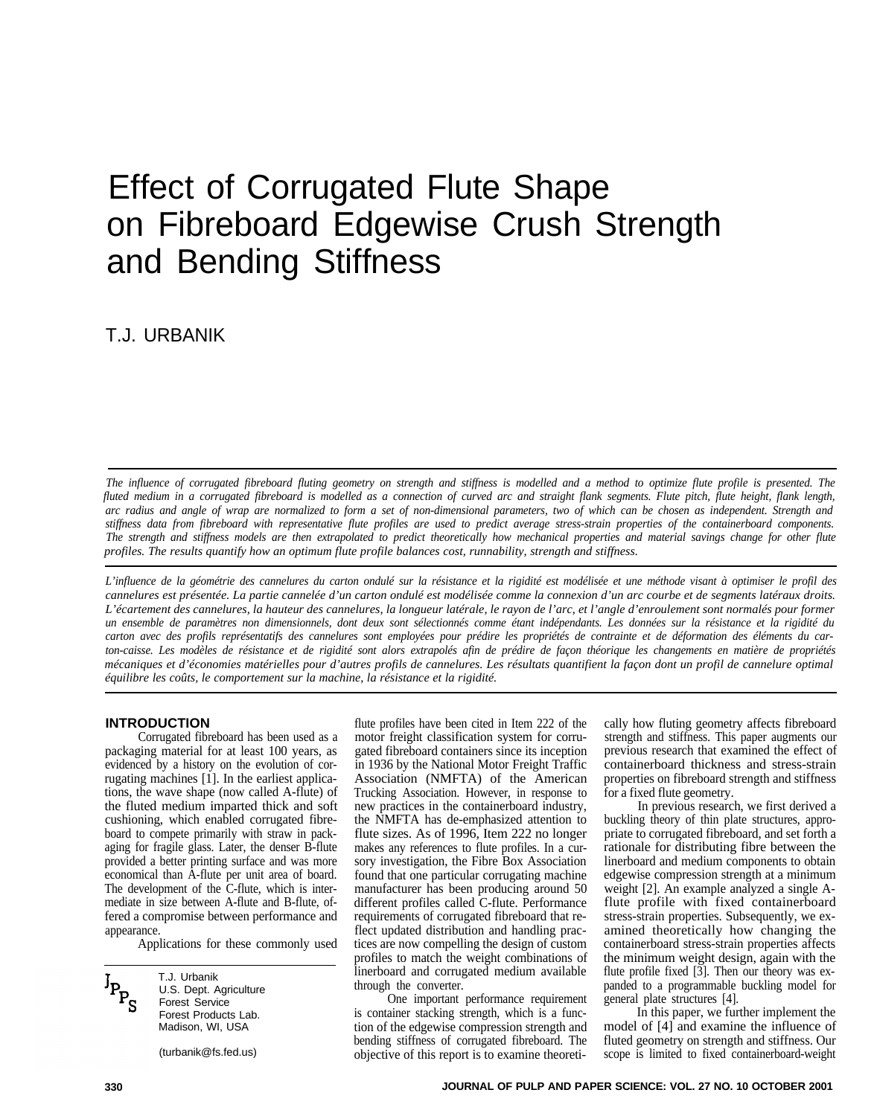# Effect of Corrugated Flute Shape on Fibreboard Edgewise Crush Strength and Bending Stiffness

T.J. URBANIK

*The influence of corrugated fibreboard fluting geometry on strength and stiffness is modelled and a method to optimize flute profile is presented. The fluted medium in a corrugated fibreboard is modelled as a connection of curved arc and straight flank segments. Flute pitch, flute height, flank length, arc radius and angle of wrap are normalized to form a set of non-dimensional parameters, two of which can be chosen as independent. Strength and stiffness data from fibreboard with representative flute profiles are used to predict average stress-strain properties of the containerboard components. The strength and stiffness models are then extrapolated to predict theoretically how mechanical properties and material savings change for other flute profiles. The results quantify how an optimum flute profile balances cost, runnability, strength and stiffness.* 

*L'influence de la géométrie des cannelures du carton ondulé sur la résistance et la rigidité est modélisée et une méthode visant à optimiser le profil des cannelures est présentée. La partie cannelée d'un carton ondulé est modélisée comme la connexion d'un arc courbe et de segments latéraux droits. L'écartement des cannelures, la hauteur des cannelures, la longueur latérale, le rayon de l'arc, et l'angle d'enroulement sont normalés pour former un ensemble de paramètres non dimensionnels, dont deux sont sélectionnés comme étant indépendants. Les données sur la résistance et la rigidité du carton avec des profils représentatifs des cannelures sont employées pour prédire les propriétés de contrainte et de déformation des éléments du carton-caisse. Les modèles de résistance et de rigidité sont alors extrapolés afin de prédire de façon théorique les changements en matière de propriétés mécaniques et d'économies matérielles pour d'autres profils de cannelures. Les résultats quantifient la façon dont un profil de cannelure optimal équilibre les coûts, le comportement sur la machine, la résistance et la rigidité.* 

rugating machines [1]. In the earliest applica-<br>tions, the wave shape (now called A-flute) of



T.J. Urbanik U.S. Dept. Agriculture Forest Service

packaging material for at least 100 years, as gated fibreboard containers since its inception previous research that examined the effect of evidenced by a history on the evolution of cor- in 1936 by the National Motor Freight Traffic containerboard thickness and stress-strain rugating machines [1]. In the earliest applica-<br>
Resociation (NMFTA) of the American Trucking Association. However, in response to for a fixed flute geometry. the fluted medium imparted thick and soft new practices in the containerboard industry, In previous research, we first derived a cushioning, which enabled corrugated fibre- the NMFTA has de-emphasized attention to buckling the NMFTA has de-emphasized attention to buckling theory of thin plate structures, approboard to compete primarily with straw in pack-<br>aging for fragile glass. Later, the denser B-flute makes any references to flute profiles. In a cur-<br>aging for fragile glass. Later, the denser B-flute makes any references to makes any references to flute profiles. In a curprovided a better printing surface and was more sory investigation, the Fibre Box Association linerboard and medium components to obtain economical than A-flute per unit area of board. found that one particular corrugating economical than A-flute per unit area of board. found that one particular corrugating machine edgewise compression strength at a minimum<br>The development of the C-flute, which is inter- manufacturer has been producing aroun manufacturer has been producing around 50 weight around  $120$ mediate in size between A-flute and B-flute, of- different profiles called C-flute. Performance flute profile with fixed containerboard fered a compromise between performance and requirements of corrugated fibreboard that re- stress-strain properties. Subsequently, we exappearance. flect updated distribution and handling prac- amined theoretically how changing the Applications for these commonly used tices are now compelling the design of custom containerboard stress-strain properties affects profiles to match the weight combinations of the minimum weight design, again with the linerboard and corrugated medium available through the converter.

One important performance requirement Forest Products Lab. is container stacking strength, which is a func-Madison, WI, USA tion of the edgewise compression strength and model of [4] and examine the influence of bending stiffness of corrugated fibreboard. The fluted geometry on strength and stiffness. Our<br>(turbanik@fs.fed.us) objective of this report is to examine theoreti-<br>scope is limited to fixed containerboard-weight

**INTRODUCTION** flute profiles have been cited in Item 222 of the cally how fluting geometry affects fibreboard Corrugated fibreboard has been used as a motor freight classification system for corru-<br>
trength and stiffness. strength and stiffness. This paper augments our

flute profile fixed [3]. Then our theory was expanded to a programmable buckling model for general plate structures [4].<br>In this paper, we further implement the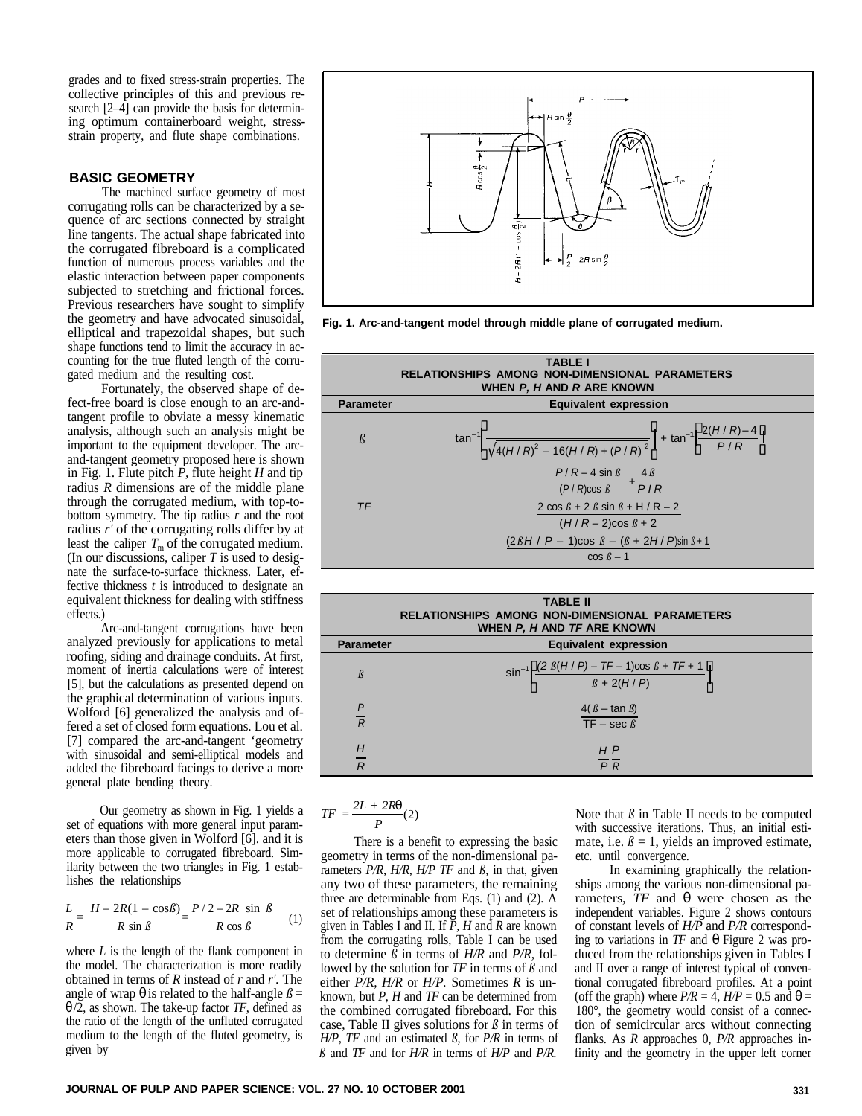grades and to fixed stress-strain properties. The collective principles of this and previous research [2–4] can provide the basis for determining optimum containerboard weight, stressstrain property, and flute shape combinations.

# **BASIC GEOMETRY**

The machined surface geometry of most corrugating rolls can be characterized by a sequence of arc sections connected by straight line tangents. The actual shape fabricated into the corrugated fibreboard is a complicated function of numerous process variables and the elastic interaction between paper components subjected to stretching and frictional forces. Previous researchers have sought to simplify the geometry and have advocated sinusoidal, elliptical and trapezoidal shapes, but such shape functions tend to limit the accuracy in accounting for the true fluted length of the corrugated medium and the resulting cost.

Fortunately, the observed shape of defect-free board is close enough to an arc-andtangent profile to obviate a messy kinematic analysis, although such an analysis might be important to the equipment developer. The arcand-tangent geometry proposed here is shown in Fig. 1. Flute pitch  $\vec{P}$ , flute height *H* and tip radius *R* dimensions are of the middle plane through the corrugated medium, with top-tobottom symmetry. The tip radius *r* and the root radius *r'* of the corrugating rolls differ by at least the caliper  $T<sub>m</sub>$  of the corrugated medium. (In our discussions, caliper *T* is used to designate the surface-to-surface thickness. Later, effective thickness *t* is introduced to designate an equivalent thickness for dealing with stiffness effects.)

Arc-and-tangent corrugations have been analyzed previously for applications to metal roofing, siding and drainage conduits. At first, moment of inertia calculations were of interest [5], but the calculations as presented depend on the graphical determination of various inputs. Wolford [6] generalized the analysis and offered a set of closed form equations. Lou et al. [7] compared the arc-and-tangent 'geometry with sinusoidal and semi-elliptical models and added the fibreboard facings to derive a more general plate bending theory.

Our geometry as shown in Fig. 1 yields a set of equations with more general input parameters than those given in Wolford [6]. and it is more applicable to corrugated fibreboard. Similarity between the two triangles in Fig. 1 establishes the relationships

$$
\frac{L}{R} = \frac{H - 2R(1 - \cos\beta)}{R \sin\beta} = \frac{P/2 - 2R \sin\beta}{R \cos\beta} \quad (1)
$$

where  $L$  is the length of the flank component in the model. The characterization is more readily obtained in terms of *R* instead of *r* and *r'.* The angle of wrap **q** is related to the half-angle  $\beta$  = *q* /2, as shown. The take-up factor *TF,* defined as the ratio of the length of the unfluted corrugated medium to the length of the fluted geometry, is given by



**Fig. 1. Arc-and-tangent model through middle plane of corrugated medium.** 

|                  | <b>TABLE I</b><br><b>RELATIONSHIPS AMONG NON-DIMENSIONAL PARAMETERS</b><br>WHEN P, H AND R ARE KNOWN                           |
|------------------|--------------------------------------------------------------------------------------------------------------------------------|
| <b>Parameter</b> | <b>Equivalent expression</b>                                                                                                   |
| $\beta$          | $\frac{1}{2}$ + tan <sup>-1</sup> $\left( \frac{2(H/R)-4}{P/R} \right)$<br>$\sqrt{4(H/R)^{2}-16(H/R)+(P/R)^{2}}$<br>$tan^{-1}$ |
|                  | $\frac{P/R - 4 \sin \beta}{(P/R)\cos \beta} + \frac{4\beta}{PIR}$                                                              |
| TF               | 2 cos $\beta$ + 2 $\beta$ sin $\beta$ + H / R - 2<br>$(H/R-2)$ cos $\beta$ + 2                                                 |
|                  | $(2\beta H / P - 1)\cos \beta - (\beta + 2H / P)\sin \beta + 1$<br>$\cos \beta - 1$                                            |

| <b>TABLE II</b><br><b>RELATIONSHIPS AMONG NON-DIMENSIONAL PARAMETERS</b><br>WHEN P, H AND TF ARE KNOWN |                                                                                               |  |  |  |  |  |  |  |
|--------------------------------------------------------------------------------------------------------|-----------------------------------------------------------------------------------------------|--|--|--|--|--|--|--|
| <b>Parameter</b>                                                                                       | <b>Equivalent expression</b>                                                                  |  |  |  |  |  |  |  |
| $\beta$                                                                                                | $\sin^{-1} \left( \frac{(2 \beta (H/P) - TF - 1)\cos \beta + TF + 1}{\beta + 2(H/P)} \right)$ |  |  |  |  |  |  |  |
| $\overline{P}$<br>$\overline{R}$                                                                       | $4(\beta - \tan \beta)$<br>TF – sec $\beta$                                                   |  |  |  |  |  |  |  |
| H                                                                                                      | H P                                                                                           |  |  |  |  |  |  |  |
| $\overline{R}$                                                                                         | $\overline{P}$ R                                                                              |  |  |  |  |  |  |  |

$$
TF = \frac{2L + 2Rq}{P}(2)
$$

There is a benefit to expressing the basic geometry in terms of the non-dimensional parameters *P/R, H/R, H/P TF* and *ß,* in that, given any two of these parameters, the remaining three are determinable from Eqs. (1) and (2). A set of relationships among these parameters is given in Tables I and II. If *P, H* and *R* are known from the corrugating rolls, Table I can be used to determine  $\beta$  in terms of  $H/R$  and  $P/R$ , followed by the solution for  $TF$  in terms of  $\beta$  and either *P/R, H/R* or *H/P.* Sometimes *R* is unknown, but *P, H* and *TF* can be determined from the combined corrugated fibreboard. For this case, Table II gives solutions for *ß* in terms of *H/P, TF* and an estimated *ß,* for *P/R* in terms of  $\beta$  and *TF* and for *H/R* in terms of *H/P* and *P/R*.

Note that  $\beta$  in Table II needs to be computed with successive iterations. Thus, an initial estimate, i.e.  $\beta = 1$ , yields an improved estimate, etc. until convergence.

In examining graphically the relationships among the various non-dimensional parameters, *TF* and *q* were chosen as the independent variables. Figure 2 shows contours of constant levels of *H/P* and *P/R* corresponding to variations in *TF* and *q* Figure 2 was produced from the relationships given in Tables I and II over a range of interest typical of conventional corrugated fibreboard profiles. At a point (off the graph) where  $P/R = 4$ ,  $H/P = 0.5$  and  $q =$ 180°, the geometry would consist of a connection of semicircular arcs without connecting flanks. As *R* approaches 0, *P/R* approaches infinity and the geometry in the upper left corner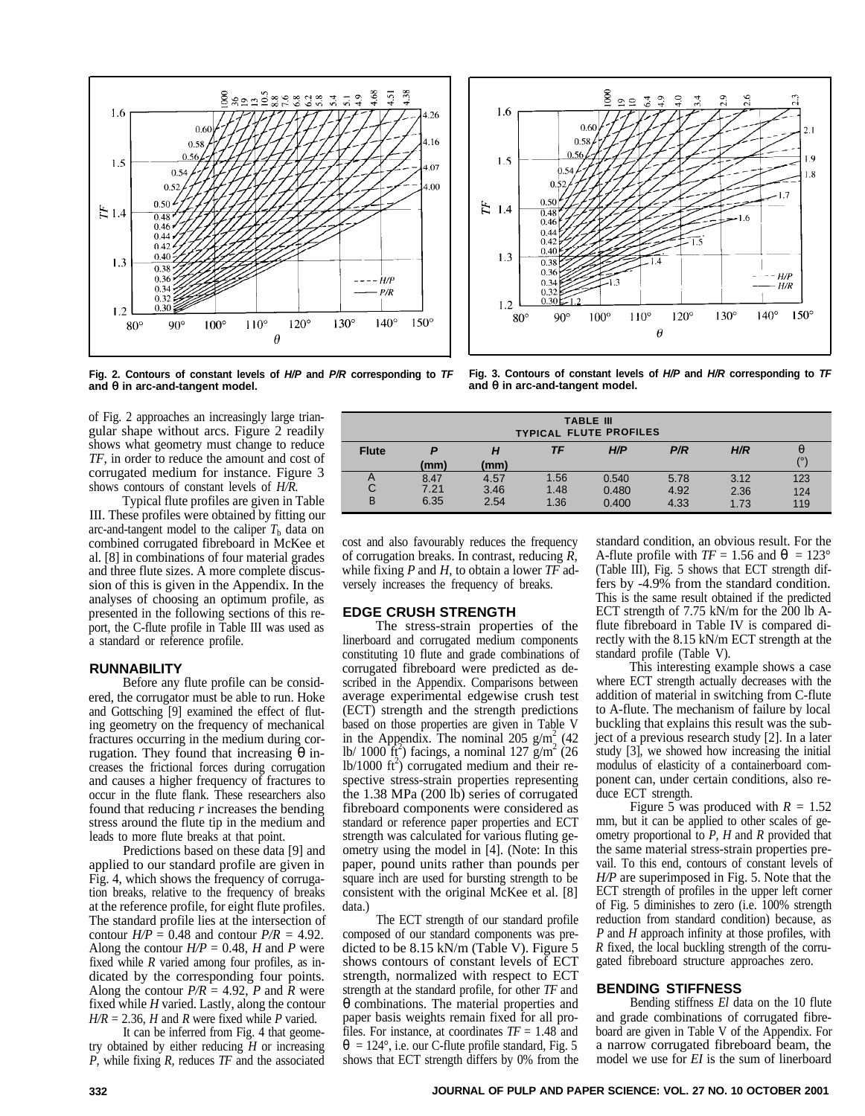



and  $q$  in arc-and-tangent model.  $q$ 

Fig. 2. Contours of constant levels of H/P and P/R corresponding to TF Fig. 3. Contours of constant levels of H/P and H/R corresponding to TF and *q* in arc-and-tangent model.

of Fig. 2 approaches an increasingly large triangular shape without arcs. Figure 2 readily shows what geometry must change to reduce *TF,* in order to reduce the amount and cost of corrugated medium for instance. Figure 3 shows contours of constant levels of *H/R.* 

Typical flute profiles are given in Table III. These profiles were obtained by fitting our arc-and-tangent model to the caliper  $T<sub>b</sub>$  data on combined corrugated fibreboard in McKee et al. [8] in combinations of four material grades and three flute sizes. A more complete discussion of this is given in the Appendix. In the analyses of choosing an optimum profile, as presented in the following sections of this report, the C-flute profile in Table III was used as a standard or reference profile.

#### **RUNNABILITY**

Before any flute profile can be considered, the corrugator must be able to run. Hoke and Gottsching [9] examined the effect of fluting geometry on the frequency of mechanical fractures occurring in the medium during corrugation. They found that increasing *q* increases the frictional forces during corrugation and causes a higher frequency of fractures to occur in the flute flank. These researchers also found that reducing *r* increases the bending stress around the flute tip in the medium and leads to more flute breaks at that point.

Predictions based on these data [9] and applied to our standard profile are given in Fig. 4, which shows the frequency of corrugation breaks, relative to the frequency of breaks at the reference profile, for eight flute profiles. The standard profile lies at the intersection of contour  $H/P = 0.48$  and contour  $P/R = 4.92$ . Along the contour  $H/P = 0.48$ , *H* and *P* were fixed while *R* varied among four profiles, as indicated by the corresponding four points. Along the contour  $P/R = 4.92$ , *P* and *R* were fixed while *H* varied. Lastly, along the contour  $H/R = 2.36$ , *H* and *R* were fixed while *P* varied.

It can be inferred from Fig. 4 that geometry obtained by either reducing *H* or increasing *P,* while fixing *R,* reduces *TF* and the associated

| <b>TABLE III</b><br><b>TYPICAL FLUTE PROFILES</b> |                      |                      |                      |                         |                      |                      |                   |  |  |  |
|---------------------------------------------------|----------------------|----------------------|----------------------|-------------------------|----------------------|----------------------|-------------------|--|--|--|
| <b>Flute</b>                                      | P<br>(mm)            | Н<br>(mm)            | TF                   | H/P                     | P/R                  | H/R                  | $\overline{O}$    |  |  |  |
| A<br>С<br>B                                       | 8.47<br>7.21<br>6.35 | 4.57<br>3.46<br>2.54 | 1.56<br>1.48<br>1.36 | 0.540<br>0.480<br>0.400 | 5.78<br>4.92<br>4.33 | 3.12<br>2.36<br>1.73 | 123<br>124<br>119 |  |  |  |

cost and also favourably reduces the frequency of corrugation breaks. In contrast, reducing *R,*  while fixing *P* and *H,* to obtain a lower *TF* adversely increases the frequency of breaks.

### **EDGE CRUSH STRENGTH**

The stress-strain properties of the linerboard and corrugated medium components constituting 10 flute and grade combinations of corrugated fibreboard were predicted as described in the Appendix. Comparisons between average experimental edgewise crush test (ECT) strength and the strength predictions based on those properties are given in Table V in the Appendix. The nominal 205  $g/m<sub>s</sub><sup>2</sup>$  (42 lb/ 1000  $\text{ft}^2$ ) facings, a nominal 127 g/m<sup>2</sup> (26)  $1b/1000$  ft<sup>2</sup>) corrugated medium and their respective stress-strain properties representing the 1.38 MPa (200 lb) series of corrugated fibreboard components were considered as standard or reference paper properties and ECT strength was calculated for various fluting geometry using the model in [4]. (Note: In this paper, pound units rather than pounds per square inch are used for bursting strength to be consistent with the original McKee et al. [8] data.)

The ECT strength of our standard profile composed of our standard components was predicted to be 8.15 kN/m (Table V). Figure 5 shows contours of constant levels of ECT strength, normalized with respect to ECT strength at the standard profile, for other *TF* and *q* combinations. The material properties and paper basis weights remain fixed for all profiles. For instance, at coordinates *TF* = 1.48 and  $q = 124^{\circ}$ , i.e. our C-flute profile standard, Fig. 5 shows that ECT strength differs by 0% from the

standard condition, an obvious result. For the A-flute profile with  $TF = 1.56$  and  $q = 123^{\circ}$ (Table III), Fig. 5 shows that ECT strength differs by -4.9% from the standard condition. This is the same result obtained if the predicted ECT strength of 7.75 kN/m for the 200 lb Aflute fibreboard in Table IV is compared directly with the 8.15 kN/m ECT strength at the standard profile (Table V).

This interesting example shows a case where ECT strength actually decreases with the addition of material in switching from C-flute to A-flute. The mechanism of failure by local buckling that explains this result was the subject of a previous research study [2]. In a later study [3], we showed how increasing the initial modulus of elasticity of a containerboard component can, under certain conditions, also reduce ECT strength.

Figure 5 was produced with  $R = 1.52$ mm, but it can be applied to other scales of geometry proportional to *P, H* and *R* provided that the same material stress-strain properties prevail. To this end, contours of constant levels of *H/P* are superimposed in Fig. 5. Note that the ECT strength of profiles in the upper left corner of Fig. 5 diminishes to zero (i.e. 100% strength reduction from standard condition) because, as *P* and *H* approach infinity at those profiles, with *R* fixed, the local buckling strength of the corrugated fibreboard structure approaches zero.

#### **BENDING STIFFNESS**

Bending stiffness *El* data on the 10 flute and grade combinations of corrugated fibreboard are given in Table V of the Appendix. For a narrow corrugated fibreboard beam, the model we use for *EI* is the sum of linerboard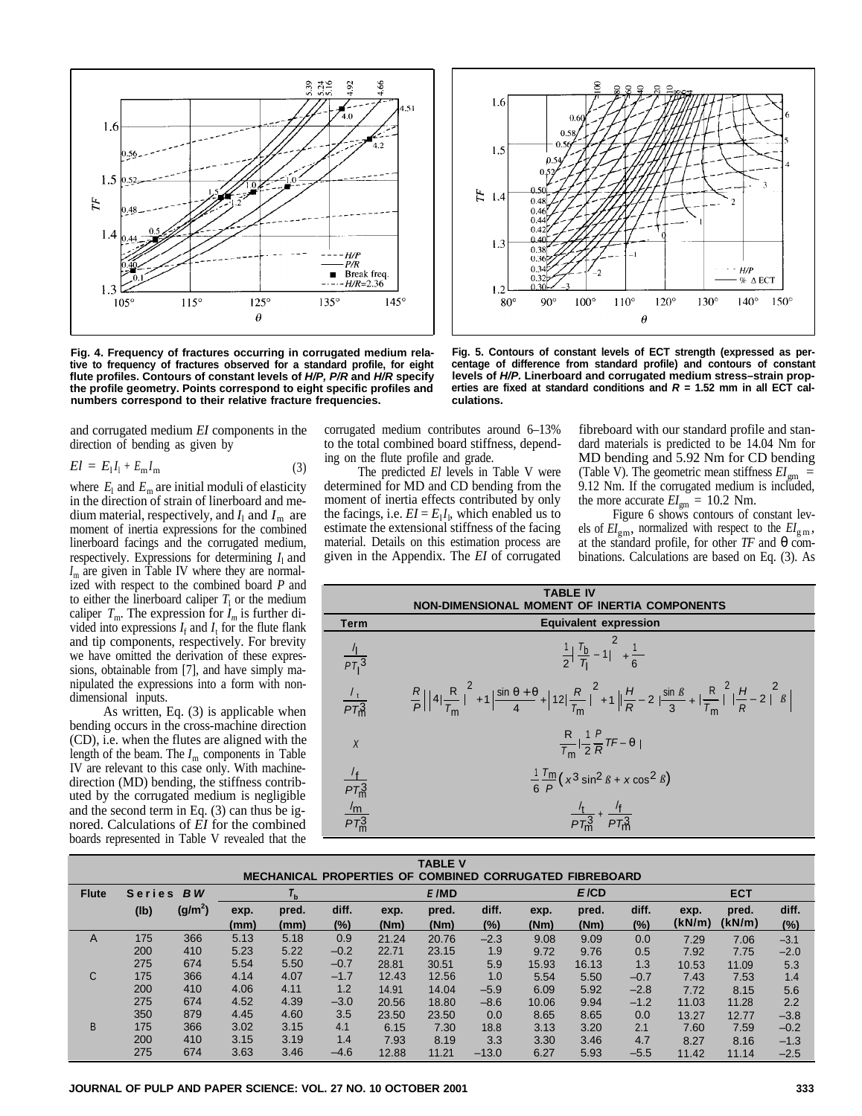

**numbers correspond to their relative fracture frequencies. culations.** 

and corrugated medium *EI* components in the direction of bending as given by

$$
El = E_1 I_1 + E_m I_m \tag{3}
$$

where  $E_1$  and  $E_m$  are initial moduli of elasticity in the direction of strain of linerboard and medium material, respectively, and  $I_1$  and  $I_m$  are moment of inertia expressions for the combined linerboard facings and the corrugated medium, respectively. Expressions for determining  $I_1$  and  $I_m$  are given in Table IV where they are normalized with respect to the combined board *P* and to either the linerboard caliper  $T_1$  or the medium caliper  $T_m$ . The expression for  $I_m$  is further divided into expressions  $I_f$  and  $I_t$  for the flute flank and tip components, respectively. For brevity we have omitted the derivation of these expressions, obtainable from [7], and have simply manipulated the expressions into a form with nondimensional inputs.

As written, Eq. (3) is applicable when bending occurs in the cross-machine direction (CD), i.e. when the flutes are aligned with the length of the beam. The  $I_m$  components in Table IV are relevant to this case only. With machinedirection (MD) bending, the stiffness contributed by the corrugated medium is negligible and the second term in Eq. (3) can thus be ignored. Calculations of *EI* for the combined boards represented in Table V revealed that the

corrugated medium contributes around 6–13% to the total combined board stiffness, depending on the flute profile and grade.

The predicted *El* levels in Table V were determined for MD and CD bending from the moment of inertia effects contributed by only the facings, i.e.  $EI = E_1 I_1$ , which enabled us to estimate the extensional stiffness of the facing material. Details on this estimation process are given in the Appendix. The *EI* of corrugated



**Fig. 4. Frequency of fractures occurring in corrugated medium rela- Fig. 5. Contours of constant levels of ECT strength (expressed as per**tive to frequency of fractures observed for a standard profile, for eight centage of difference from standard profile) and contours of constant<br>flute profiles. Contours of constant levels of *H/P, P/R* and *H/R* specify le **the profile geometry. Points correspond to eight specific profiles and erties are fixed at standard conditions and** *R* **= 1.52 mm in all ECT cal-**

fibreboard with our standard profile and standard materials is predicted to be 14.04 Nm for MD bending and 5.92 Nm for CD bending (Table V). The geometric mean stiffness  $EI_{gm}$  = 9.12 Nm. If the corrugated medium is included, the more accurate  $EI_{gm} = 10.2$  Nm.

Figure 6 shows contours of constant levels of  $EI_{\text{gm}}$ , normalized with respect to the  $EI_{\text{gm}}$ , at the standard profile, for other *TF* and *q* combinations. Calculations are based on Eq. (3). As

|                                                                               | <b>TABLE IV</b><br>IMENSIONAL MOMENT OF INERTIA COMPONENTS                                                                                                                                                                                                 |
|-------------------------------------------------------------------------------|------------------------------------------------------------------------------------------------------------------------------------------------------------------------------------------------------------------------------------------------------------|
| Term                                                                          | <b>Equivalent expression</b>                                                                                                                                                                                                                               |
| $\frac{7}{PT_1^3}$                                                            | $rac{1}{2} \left( \frac{T_b}{T_1} - 1 \right)^2 + \frac{1}{6}$                                                                                                                                                                                             |
| $\frac{I_t}{PT_m^3}$                                                          | $\frac{R}{P}\left(\left(4\left(\frac{R}{T_m}\right)^2+1\right)\frac{\sin\theta+\theta}{4}+\left(12\left(\frac{R}{T_m}\right)^2+1\right)\left(\frac{H}{R}-2\right)\frac{\sin\beta}{3}+\left(\frac{R}{T_m}\right)^2\left(\frac{H}{R}-2\right)^2\beta\right)$ |
| $\chi$                                                                        | $\frac{R}{T_m} \left( \frac{1}{2} \frac{P}{R} T F - \theta \right)$                                                                                                                                                                                        |
| $\frac{f_{\text{f}}}{PT_{\text{m}}^3}$ $\frac{f_{\text{m}}}{PT_{\text{m}}^3}$ | $\frac{1}{6}$ $\frac{1}{p}$ $\left(x^3 \sin^2 \beta + x \cos^2 \beta\right)$                                                                                                                                                                               |
|                                                                               | $\frac{7t}{PT_2^3} + \frac{7t}{PT_3^3}$                                                                                                                                                                                                                    |

| <b>TABLE V</b>                                                                               |                     |                     |      |       |        |       |       |         |       |            |        |        |        |        |
|----------------------------------------------------------------------------------------------|---------------------|---------------------|------|-------|--------|-------|-------|---------|-------|------------|--------|--------|--------|--------|
| <b>MECHANICAL PROPERTIES OF</b><br><b>CORRUGATED</b><br><b>COMBINED</b><br><b>FIBREBOARD</b> |                     |                     |      |       |        |       |       |         |       |            |        |        |        |        |
| <b>Flute</b>                                                                                 | BW<br><b>Series</b> |                     |      | E/MD  |        |       | E/CD  |         |       | <b>ECT</b> |        |        |        |        |
|                                                                                              | (lb)                | (g/m <sup>2</sup> ) | exp. | pred. | diff.  | exp.  | pred. | diff.   | exp.  | pred.      | diff.  | exp.   | pred.  | diff.  |
|                                                                                              |                     |                     | (mm) | (mm)  | $(\%)$ | (Nm)  | (Nm)  | $(\%)$  | (Nm)  | (Nm)       | (%)    | (kN/m) | (kN/m) | (%)    |
| A                                                                                            | 175                 | 366                 | 5.13 | 5.18  | 0.9    | 21.24 | 20.76 | $-2.3$  | 9.08  | 9.09       | 0.0    | 7.29   | 7.06   | $-3.1$ |
|                                                                                              | 200                 | 410                 | 5.23 | 5.22  | $-0.2$ | 22.71 | 23.15 | 1.9     | 9.72  | 9.76       | 0.5    | 7.92   | 7.75   | $-2.0$ |
|                                                                                              | 275                 | 674                 | 5.54 | 5.50  | $-0.7$ | 28.81 | 30.51 | 5.9     | 15.93 | 16.13      | 1.3    | 10.53  | 11.09  | 5.3    |
| C                                                                                            | 175                 | 366                 | 4.14 | 4.07  | $-1.7$ | 12.43 | 12.56 | 1.0     | 5.54  | 5.50       | $-0.7$ | 7.43   | 7.53   | 1.4    |
|                                                                                              | 200                 | 410                 | 4.06 | 4.11  | 1.2    | 14.91 | 14.04 | $-5.9$  | 6.09  | 5.92       | $-2.8$ | 7.72   | 8.15   | 5.6    |
|                                                                                              | 275                 | 674                 | 4.52 | 4.39  | $-3.0$ | 20.56 | 18.80 | $-8.6$  | 10.06 | 9.94       | $-1.2$ | 11.03  | 11.28  | 2.2    |
|                                                                                              | 350                 | 879                 | 4.45 | 4.60  | 3.5    | 23.50 | 23.50 | 0.0     | 8.65  | 8.65       | 0.0    | 13.27  | 12.77  | $-3.8$ |
| B                                                                                            | 175                 | 366                 | 3.02 | 3.15  | 4.1    | 6.15  | 7.30  | 18.8    | 3.13  | 3.20       | 2.1    | 7.60   | 7.59   | $-0.2$ |
|                                                                                              | 200                 | 410                 | 3.15 | 3.19  | 1.4    | 7.93  | 8.19  | 3.3     | 3.30  | 3.46       | 4.7    | 8.27   | 8.16   | $-1.3$ |
|                                                                                              | 275                 | 674                 | 3.63 | 3.46  | $-4.6$ | 12.88 | 11.21 | $-13.0$ | 6.27  | 5.93       | $-5.5$ | 11.42  | 11.14  | $-2.5$ |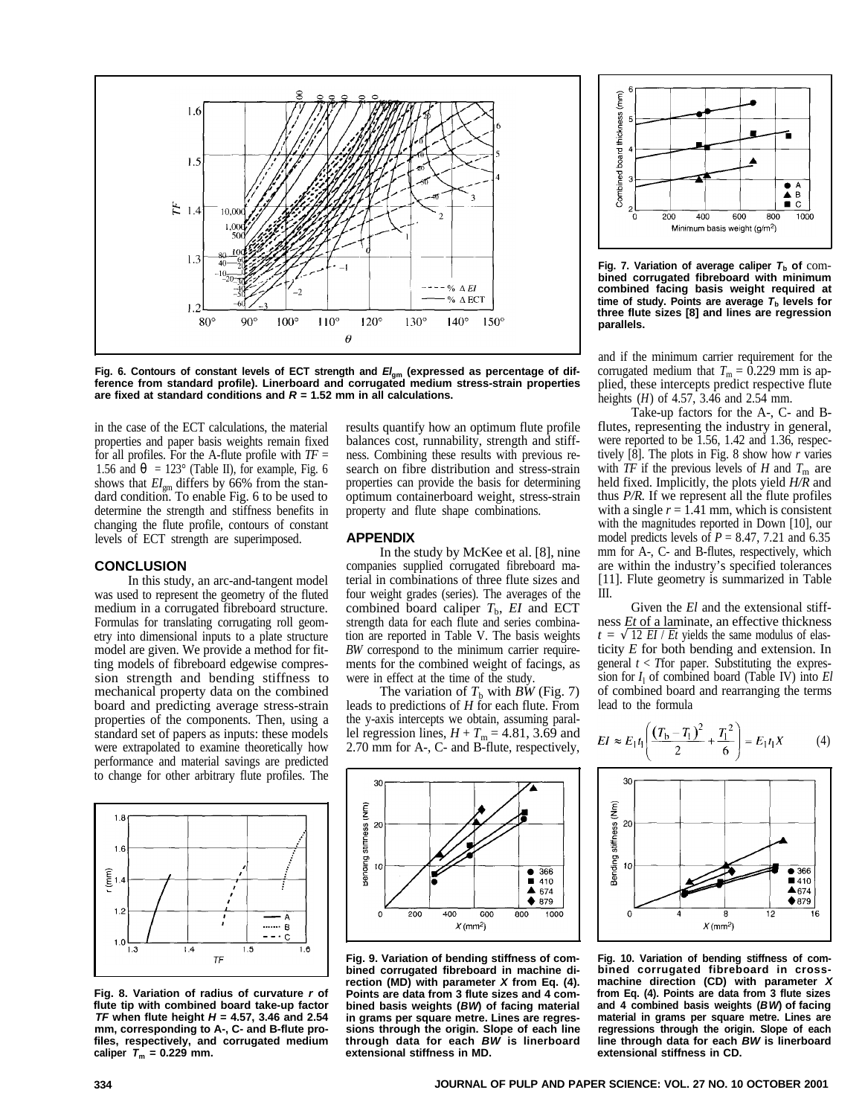

Fig. 6. Contours of constant levels of ECT strength and  $El_{am}$  (expressed as percentage of dif**ference from standard profile). Linerboard and corrugated medium stress-strain properties are fixed at standard conditions and** *R* **= 1.52 mm in all calculations.** 

in the case of the ECT calculations, the material properties and paper basis weights remain fixed for all profiles. For the A-flute profile with *TF* = 1.56 and  $q = 123^\circ$  (Table II), for example, Fig. 6 shows that  $EI_{\text{gm}}$  differs by 66% from the standard condition. To enable Fig. 6 to be used to determine the strength and stiffness benefits in changing the flute profile, contours of constant levels of ECT strength are superimposed.

#### **CONCLUSION**

In this study, an arc-and-tangent model was used to represent the geometry of the fluted medium in a corrugated fibreboard structure. Formulas for translating corrugating roll geometry into dimensional inputs to a plate structure model are given. We provide a method for fitting models of fibreboard edgewise compression strength and bending stiffness to mechanical property data on the combined board and predicting average stress-strain properties of the components. Then, using a standard set of papers as inputs: these models were extrapolated to examine theoretically how performance and material savings are predicted to change for other arbitrary flute profiles. The



**Fig. 8. Variation of radius of curvature** *r* **of flute tip with combined board take-up factor**  *TF* **when flute height** *H* **= 4.57, 3.46 and 2.54 mm, corresponding to A-, C- and B-flute profiles, respectively, and corrugated medium caliper**  $T_m = 0.229$  mm.

results quantify how an optimum flute profile balances cost, runnability, strength and stiffness. Combining these results with previous research on fibre distribution and stress-strain properties can provide the basis for determining optimum containerboard weight, stress-strain property and flute shape combinations.

#### **APPENDIX**

In the study by McKee et al. [8], nine companies supplied corrugated fibreboard material in combinations of three flute sizes and four weight grades (series). The averages of the combined board caliper  $T<sub>b</sub>$ ,  $EI$  and ECT strength data for each flute and series combination are reported in Table V. The basis weights *BW* correspond to the minimum carrier requirements for the combined weight of facings, as were in effect at the time of the study.

The variation of  $T_b$  with *BW* (Fig. 7) leads to predictions of *H* for each flute. From the y-axis intercepts we obtain, assuming parallel regression lines,  $H + T_m = 4.81$ , 3.69 and 2.70 mm for A-, C- and B-flute, respectively,



**Fig. 9. Variation of bending stiffness of combined corrugated fibreboard in machine direction (MD) with parameter** *X* **from Eq. (4). Points are data from 3 flute sizes and 4 combined basis weights (***BW***) of facing material in grams per square metre. Lines are regressions through the origin. Slope of each line through data for each** *BW* **is linerboard extensional stiffness in MD.** 



**Fig. 7. Variation of average caliper** *T***b of** com **bined corrugated fibreboard with minimum combined facing basis weight required at**  time of study. Points are average  $T<sub>b</sub>$  levels for **three flute sizes [8] and lines are regression parallels.** 

and if the minimum carrier requirement for the corrugated medium that  $T_m = 0.229$  mm is applied, these intercepts predict respective flute heights  $(H)$  of 4.57, 3.46 and 2.54 mm.

Take-up factors for the A-, C- and Bflutes, representing the industry in general, were reported to be 1.56, 1.42 and 1.36, respectively [8]. The plots in Fig. 8 show how *r* varies with  $TF$  if the previous levels of  $H$  and  $T_m$  are held fixed. Implicitly, the plots yield *H/R* and thus *P/R.* If we represent all the flute profiles with a single  $r = 1.41$  mm, which is consistent with the magnitudes reported in Down [10], our model predicts levels of  $P = 8.47, 7.21$  and 6.35 mm for A-, C- and B-flutes, respectively, which are within the industry's specified tolerances [11]. Flute geometry is summarized in Table III.

Given the *El* and the extensional stiffness *Et* of a laminate, an effective thickness  $t = \sqrt{12 EI / Et}$  yields the same modulus of elasticity *E* for both bending and extension. In general  $t <$  *T*for paper. Substituting the expression for  $I_1$  of combined board (Table IV) into  $El$ of combined board and rearranging the terms lead to the formula

$$
EI \approx E_1 t_1 \left( \frac{(T_{\rm b} - T_1)^2}{2} + \frac{T_1^2}{6} \right) = E_1 t_1 X \tag{4}
$$



**Fig. 10. Variation of bending stiffness of combined corrugated fibreboard in crossmachine direction (CD) with parameter** *X*  **from Eq. (4). Points are data from 3 flute sizes and 4 combined basis weights (***BW***) of facing material in grams per square metre. Lines are regressions through the origin. Slope of each line through data for each** *BW* **is linerboard extensional stiffness in CD.**